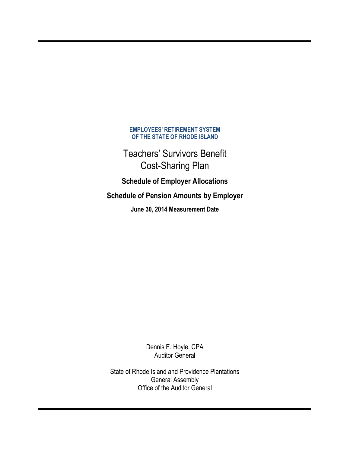Teachers' Survivors Benefit Cost-Sharing Plan

**Schedule of Employer Allocations Schedule of Pension Amounts by Employer June 30, 2014 Measurement Date** 

> Dennis E. Hoyle, CPA Auditor General

State of Rhode Island and Providence Plantations General Assembly Office of the Auditor General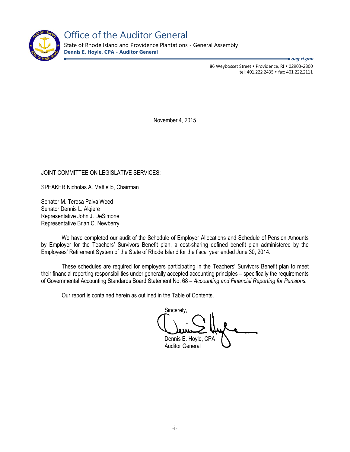

Office of the Auditor General

State of Rhode Island and Providence Plantations - General Assembly **Dennis E. Hoyle, CPA - Auditor General**

> 86 Weybosset Street · Providence, RI · 02903-2800 tel: 401.222.2435 · fax: 401.222.2111 **oag.ri.gov**

November 4, 2015

#### JOINT COMMITTEE ON LEGISLATIVE SERVICES:

SPEAKER Nicholas A. Mattiello, Chairman

Senator M. Teresa Paiva Weed Senator Dennis L. Algiere Representative John J. DeSimone Representative Brian C. Newberry

We have completed our audit of the Schedule of Employer Allocations and Schedule of Pension Amounts by Employer for the Teachers' Survivors Benefit plan, a cost-sharing defined benefit plan administered by the Employees' Retirement System of the State of Rhode Island for the fiscal year ended June 30, 2014.

These schedules are required for employers participating in the Teachers' Survivors Benefit plan to meet their financial reporting responsibilities under generally accepted accounting principles – specifically the requirements of Governmental Accounting Standards Board Statement No. 68 – *Accounting and Financial Reporting for Pensions.* 

Our report is contained herein as outlined in the Table of Contents.

Sincerely, Dennis E. Hoyle, CPA

Auditor General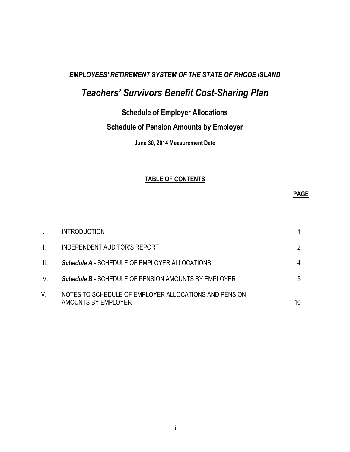# *Teachers' Survivors Benefit Cost-Sharing Plan*

## **Schedule of Employer Allocations**

## **Schedule of Pension Amounts by Employer**

**June 30, 2014 Measurement Date** 

## **TABLE OF CONTENTS**

### **PAGE**

|      | <b>INTRODUCTION</b>                                                          |    |
|------|------------------------------------------------------------------------------|----|
| II.  | INDEPENDENT AUDITOR'S REPORT                                                 |    |
| III. | <b>Schedule A - SCHEDULE OF EMPLOYER ALLOCATIONS</b>                         |    |
| IV.  | <b>Schedule B - SCHEDULE OF PENSION AMOUNTS BY EMPLOYER</b>                  | 5  |
| V.   | NOTES TO SCHEDULE OF EMPLOYER ALLOCATIONS AND PENSION<br>AMOUNTS BY EMPLOYER | 10 |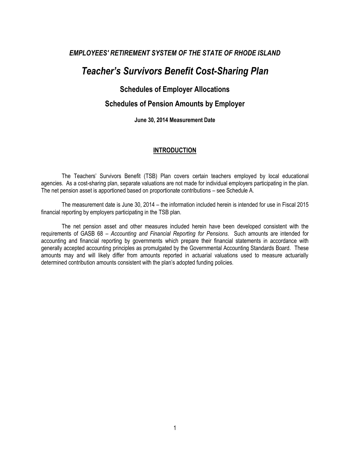## *Teacher's Survivors Benefit Cost-Sharing Plan*

## **Schedules of Employer Allocations**

## **Schedules of Pension Amounts by Employer**

**June 30, 2014 Measurement Date** 

#### **INTRODUCTION**

The Teachers' Survivors Benefit (TSB) Plan covers certain teachers employed by local educational agencies. As a cost-sharing plan, separate valuations are not made for individual employers participating in the plan. The net pension asset is apportioned based on proportionate contributions – see Schedule A.

The measurement date is June 30, 2014 – the information included herein is intended for use in Fiscal 2015 financial reporting by employers participating in the TSB plan.

The net pension asset and other measures included herein have been developed consistent with the requirements of GASB 68 – *Accounting and Financial Reporting for Pensions*. Such amounts are intended for accounting and financial reporting by governments which prepare their financial statements in accordance with generally accepted accounting principles as promulgated by the Governmental Accounting Standards Board. These amounts may and will likely differ from amounts reported in actuarial valuations used to measure actuarially determined contribution amounts consistent with the plan's adopted funding policies.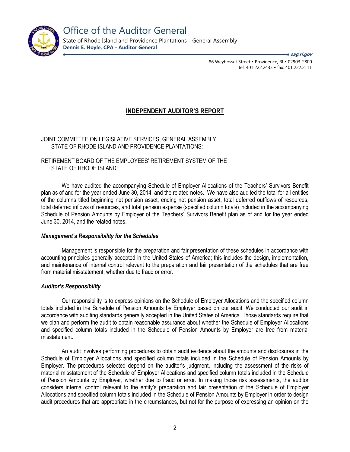

Office of the Auditor General

State of Rhode Island and Providence Plantations - General Assembly **Dennis E. Hoyle, CPA - Auditor General**

> 86 Weybosset Street · Providence, RI · 02903-2800 tel: 401.222.2435 fax: 401.222.2111 **oag.ri.gov**

## **INDEPENDENT AUDITOR'S REPORT**

JOINT COMMITTEE ON LEGISLATIVE SERVICES, GENERAL ASSEMBLY STATE OF RHODE ISLAND AND PROVIDENCE PLANTATIONS:

RETIREMENT BOARD OF THE EMPLOYEES' RETIREMENT SYSTEM OF THE STATE OF RHODE ISLAND:

We have audited the accompanying Schedule of Employer Allocations of the Teachers' Survivors Benefit plan as of and for the year ended June 30, 2014, and the related notes. We have also audited the total for all entities of the columns titled beginning net pension asset, ending net pension asset, total deferred outflows of resources, total deferred inflows of resources, and total pension expense (specified column totals) included in the accompanying Schedule of Pension Amounts by Employer of the Teachers' Survivors Benefit plan as of and for the year ended June 30, 2014, and the related notes.

#### *Management's Responsibility for the Schedules*

Management is responsible for the preparation and fair presentation of these schedules in accordance with accounting principles generally accepted in the United States of America; this includes the design, implementation, and maintenance of internal control relevant to the preparation and fair presentation of the schedules that are free from material misstatement, whether due to fraud or error.

#### *Auditor's Responsibility*

Our responsibility is to express opinions on the Schedule of Employer Allocations and the specified column totals included in the Schedule of Pension Amounts by Employer based on our audit. We conducted our audit in accordance with auditing standards generally accepted in the United States of America. Those standards require that we plan and perform the audit to obtain reasonable assurance about whether the Schedule of Employer Allocations and specified column totals included in the Schedule of Pension Amounts by Employer are free from material misstatement.

An audit involves performing procedures to obtain audit evidence about the amounts and disclosures in the Schedule of Employer Allocations and specified column totals included in the Schedule of Pension Amounts by Employer. The procedures selected depend on the auditor's judgment, including the assessment of the risks of material misstatement of the Schedule of Employer Allocations and specified column totals included in the Schedule of Pension Amounts by Employer, whether due to fraud or error. In making those risk assessments, the auditor considers internal control relevant to the entity's preparation and fair presentation of the Schedule of Employer Allocations and specified column totals included in the Schedule of Pension Amounts by Employer in order to design audit procedures that are appropriate in the circumstances, but not for the purpose of expressing an opinion on the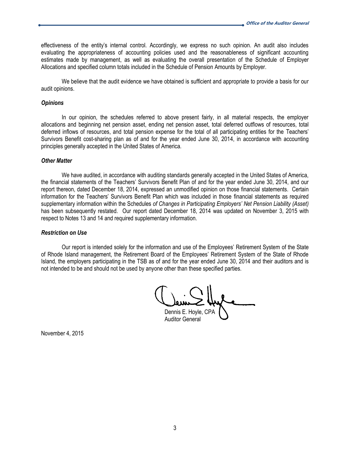effectiveness of the entity's internal control. Accordingly, we express no such opinion. An audit also includes evaluating the appropriateness of accounting policies used and the reasonableness of significant accounting estimates made by management, as well as evaluating the overall presentation of the Schedule of Employer Allocations and specified column totals included in the Schedule of Pension Amounts by Employer.

We believe that the audit evidence we have obtained is sufficient and appropriate to provide a basis for our audit opinions.

#### *Opinions*

In our opinion, the schedules referred to above present fairly, in all material respects, the employer allocations and beginning net pension asset, ending net pension asset, total deferred outflows of resources, total deferred inflows of resources, and total pension expense for the total of all participating entities for the Teachers' Survivors Benefit cost-sharing plan as of and for the year ended June 30, 2014, in accordance with accounting principles generally accepted in the United States of America.

#### *Other Matter*

We have audited, in accordance with auditing standards generally accepted in the United States of America, the financial statements of the Teachers' Survivors Benefit Plan of and for the year ended June 30, 2014, and our report thereon, dated December 18, 2014, expressed an unmodified opinion on those financial statements. Certain information for the Teachers' Survivors Benefit Plan which was included in those financial statements as required supplementary information within the Schedules *of Changes in Participating Employers' Net Pension Liability (Asset)* has been subsequently restated. Our report dated December 18, 2014 was updated on November 3, 2015 with respect to Notes 13 and 14 and required supplementary information.

#### *Restriction on Use*

Our report is intended solely for the information and use of the Employees' Retirement System of the State of Rhode Island management, the Retirement Board of the Employees' Retirement System of the State of Rhode Island, the employers participating in the TSB as of and for the year ended June 30, 2014 and their auditors and is not intended to be and should not be used by anyone other than these specified parties.

Dennis E. Hoyle, CPA

Auditor General

November 4, 2015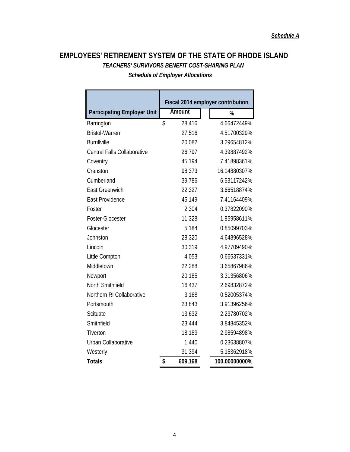# **EMPLOYEES' RETIREMENT SYSTEM OF THE STATE OF RHODE ISLAND**

*TEACHERS' SURVIVORS BENEFIT COST-SHARING PLAN*

| <b>Schedule of Employer Allocations</b> |  |
|-----------------------------------------|--|
|-----------------------------------------|--|

|                                    | Fiscal 2014 employer contribution |               |  |  |
|------------------------------------|-----------------------------------|---------------|--|--|
| <b>Participating Employer Unit</b> | Amount                            | %             |  |  |
| Barrington                         | \$<br>28,416                      | 4.66472449%   |  |  |
| <b>Bristol-Warren</b>              | 27,516                            | 4.51700329%   |  |  |
| <b>Burrillville</b>                | 20,082                            | 3.29654812%   |  |  |
| Central Falls Collaborative        | 26,797                            | 4.39887492%   |  |  |
| Coventry                           | 45,194                            | 7.41898361%   |  |  |
| Cranston                           | 98,373                            | 16.14880307%  |  |  |
| Cumberland                         | 39,786                            | 6.53117242%   |  |  |
| <b>East Greenwich</b>              | 22,327                            | 3.66518874%   |  |  |
| East Providence                    | 45,149                            | 7.41164409%   |  |  |
| Foster                             | 2,304                             | 0.37822090%   |  |  |
| Foster-Glocester                   | 11,328                            | 1.85958611%   |  |  |
| Glocester                          | 5,184                             | 0.85099703%   |  |  |
| Johnston                           | 28,320                            | 4.64896528%   |  |  |
| Lincoln                            | 30,319                            | 4.97709490%   |  |  |
| Little Compton                     | 4,053                             | 0.66537331%   |  |  |
| Middletown                         | 22,288                            | 3.65867986%   |  |  |
| Newport                            | 20,185                            | 3.31356806%   |  |  |
| North Smithfield                   | 16,437                            | 2.69832872%   |  |  |
| Northern RI Collaborative          | 3,168                             | 0.52005374%   |  |  |
| Portsmouth                         | 23,843                            | 3.91396256%   |  |  |
| Scituate                           | 13,632                            | 2.23780702%   |  |  |
| Smithfield                         | 23,444                            | 3.84845352%   |  |  |
| Tiverton                           | 18,189                            | 2.98594898%   |  |  |
| Urban Collaborative                | 1,440                             | 0.23638807%   |  |  |
| Westerly                           | 31,394                            | 5.15362918%   |  |  |
| <b>Totals</b>                      | \$<br>609,168                     | 100.00000000% |  |  |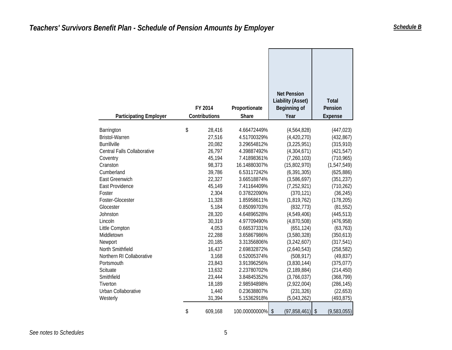| <b>Participating Employer</b> | FY 2014<br>Contributions | Proportionate<br>Share | <b>Net Pension</b><br><b>Liability (Asset)</b><br>Beginning of<br>Year | Total<br>Pension<br><b>Expense</b> |
|-------------------------------|--------------------------|------------------------|------------------------------------------------------------------------|------------------------------------|
| Barrington                    | \$<br>28,416             | 4.66472449%            | (4,564,828)                                                            | (447, 023)                         |
| <b>Bristol-Warren</b>         | 27,516                   | 4.51700329%            | (4,420,270)                                                            | (432, 867)                         |
| <b>Burrillville</b>           | 20,082                   | 3.29654812%            | (3, 225, 951)                                                          | (315, 910)                         |
| Central Falls Collaborative   | 26,797                   | 4.39887492%            | (4,304,671)                                                            | (421, 547)                         |
| Coventry                      | 45,194                   | 7.41898361%            | (7,260,103)                                                            | (710, 965)                         |
| Cranston                      | 98,373                   | 16.14880307%           | (15,802,970)                                                           | (1, 547, 549)                      |
| Cumberland                    | 39,786                   | 6.53117242%            | (6, 391, 305)                                                          | (625, 886)                         |
| <b>East Greenwich</b>         | 22,327                   | 3.66518874%            | (3,586,697)                                                            | (351, 237)                         |
| East Providence               | 45,149                   | 7.41164409%            | (7, 252, 921)                                                          | (710, 262)                         |
| Foster                        | 2,304                    | 0.37822090%            | (370, 121)                                                             | (36, 245)                          |
| Foster-Glocester              | 11,328                   | 1.85958611%            | (1,819,762)                                                            | (178, 205)                         |
| Glocester                     | 5,184                    | 0.85099703%            | (832, 773)                                                             | (81, 552)                          |
| Johnston                      | 28,320                   | 4.64896528%            | (4,549,406)                                                            | (445, 513)                         |
| Lincoln                       | 30,319                   | 4.97709490%            | (4,870,508)                                                            | (476, 958)                         |
| Little Compton                | 4,053                    | 0.66537331%            | (651, 124)                                                             | (63, 763)                          |
| Middletown                    | 22,288                   | 3.65867986%            | (3,580,328)                                                            | (350, 613)                         |
| Newport                       | 20,185                   | 3.31356806%            | (3,242,607)                                                            | (317, 541)                         |
| North Smithfield              | 16,437                   | 2.69832872%            | (2,640,543)                                                            | (258, 582)                         |
| Northern RI Collaborative     | 3,168                    | 0.52005374%            | (508, 917)                                                             | (49, 837)                          |
| Portsmouth                    | 23,843                   | 3.91396256%            | (3,830,144)                                                            | (375, 077)                         |
| Scituate                      | 13,632                   | 2.23780702%            | (2, 189, 884)                                                          | (214, 450)                         |
| Smithfield                    | 23,444                   | 3.84845352%            | (3,766,037)                                                            | (368, 799)                         |
| Tiverton                      | 18,189                   | 2.98594898%            | (2,922,004)                                                            | (286, 145)                         |
| Urban Collaborative           | 1,440                    | 0.23638807%            | (231, 326)                                                             | (22, 653)                          |
| Westerly                      | 31,394                   | 5.15362918%            | (5,043,262)                                                            | (493, 875)                         |
|                               | \$<br>609,168            | 100.00000000%          | $\sqrt{2}$<br>(97, 858, 461)                                           | $\sqrt{2}$<br>(9,583,055)          |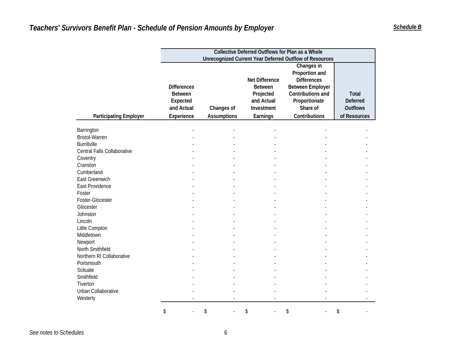|                               | Collective Deferred Outflows for Plan as a Whole               |             |                       |                         |                 |
|-------------------------------|----------------------------------------------------------------|-------------|-----------------------|-------------------------|-----------------|
|                               | <b>Unrecognized Current Year Deferred Outflow of Resources</b> |             |                       |                         |                 |
|                               |                                                                |             |                       | Changes in              |                 |
|                               |                                                                |             |                       | Proportion and          |                 |
|                               |                                                                |             | <b>Net Difference</b> | <b>Differences</b>      |                 |
|                               | <b>Differences</b>                                             |             | <b>Between</b>        | <b>Between Employer</b> |                 |
|                               | <b>Between</b>                                                 |             | Projected             | Contributions and       | <b>Total</b>    |
|                               | Expected                                                       |             | and Actual            | Proportionate           | <b>Deferred</b> |
|                               | and Actual                                                     | Changes of  | Investment            | Share of                | <b>Outflows</b> |
| <b>Participating Employer</b> | Experience                                                     | Assumptions | Earnings              | Contributions           | of Resources    |
| Barrington                    |                                                                |             |                       |                         |                 |
| <b>Bristol-Warren</b>         |                                                                |             |                       |                         |                 |
| <b>Burrillville</b>           |                                                                |             |                       |                         |                 |
| Central Falls Collaborative   |                                                                |             |                       |                         |                 |
| Coventry                      |                                                                |             |                       |                         |                 |
| Cranston                      |                                                                |             |                       |                         |                 |
| Cumberland                    |                                                                |             |                       |                         |                 |
| East Greenwich                |                                                                |             |                       |                         |                 |
| East Providence               |                                                                |             |                       |                         |                 |
| Foster                        |                                                                |             |                       |                         |                 |
| Foster-Glocester              |                                                                |             |                       |                         |                 |
| Glocester                     |                                                                |             |                       |                         |                 |
| Johnston                      |                                                                |             |                       |                         |                 |
| Lincoln                       |                                                                |             |                       |                         |                 |
| Little Compton                |                                                                |             |                       |                         |                 |
| Middletown                    |                                                                |             |                       |                         |                 |
| Newport                       |                                                                |             |                       |                         |                 |
| North Smithfield              |                                                                |             |                       |                         |                 |
| Northern RI Collaborative     |                                                                |             |                       |                         |                 |
| Portsmouth                    |                                                                |             |                       |                         |                 |
| Scituate                      |                                                                |             |                       |                         |                 |
| Smithfield                    |                                                                |             |                       |                         |                 |
| Tiverton                      |                                                                |             |                       |                         |                 |
| Urban Collaborative           |                                                                |             |                       |                         |                 |
| Westerly                      |                                                                |             |                       |                         |                 |
|                               | \$                                                             | \$          | \$                    | \$                      | \$              |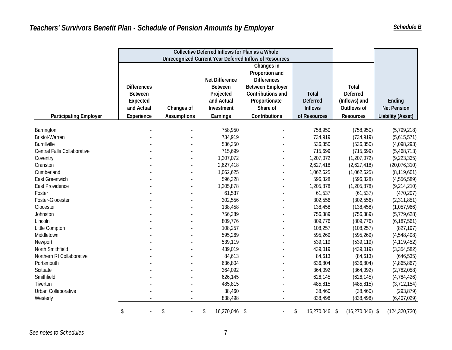|                               |                    |                    | Collective Deferred Inflows for Plan as a Whole |                                                               |                  |                           |                    |
|-------------------------------|--------------------|--------------------|-------------------------------------------------|---------------------------------------------------------------|------------------|---------------------------|--------------------|
|                               |                    |                    |                                                 | <b>Unrecognized Current Year Deferred Inflow of Resources</b> |                  |                           |                    |
|                               |                    |                    |                                                 | Changes in                                                    |                  |                           |                    |
|                               |                    |                    |                                                 | Proportion and                                                |                  |                           |                    |
|                               |                    |                    | <b>Net Difference</b>                           | <b>Differences</b>                                            |                  |                           |                    |
|                               | <b>Differences</b> |                    | <b>Between</b>                                  | <b>Between Employer</b>                                       |                  | Total                     |                    |
|                               | <b>Between</b>     |                    | Projected                                       | Contributions and                                             | <b>Total</b>     | Deferred                  |                    |
|                               | Expected           |                    | and Actual                                      | Proportionate                                                 | <b>Deferred</b>  | (Inflows) and             | Ending             |
|                               | and Actual         | Changes of         | Investment                                      | Share of                                                      | <b>Inflows</b>   | Outflows of               | <b>Net Pension</b> |
| <b>Participating Employer</b> | Experience         | <b>Assumptions</b> | Earnings                                        | Contributions                                                 | of Resources     | <b>Resources</b>          | Liability (Asset)  |
|                               |                    |                    |                                                 |                                                               |                  |                           |                    |
| Barrington                    |                    |                    | 758,950                                         |                                                               | 758,950          | (758, 950)                | (5,799,218)        |
| <b>Bristol-Warren</b>         |                    |                    | 734,919                                         |                                                               | 734,919          | (734, 919)                | (5,615,571)        |
| <b>Burrillville</b>           |                    |                    | 536,350                                         |                                                               | 536,350          | (536, 350)                | (4,098,293)        |
| Central Falls Collaborative   |                    |                    | 715,699                                         |                                                               | 715,699          | (715, 699)                | (5,468,713)        |
| Coventry                      |                    |                    | 1,207,072                                       |                                                               | 1,207,072        | (1, 207, 072)             | (9, 223, 335)      |
| Cranston                      |                    |                    | 2,627,418                                       |                                                               | 2,627,418        | (2,627,418)               | (20,076,310)       |
| Cumberland                    |                    |                    | 1,062,625                                       |                                                               | 1,062,625        | (1,062,625)               | (8, 119, 601)      |
| East Greenwich                |                    |                    | 596,328                                         |                                                               | 596,328          | (596, 328)                | (4,556,589)        |
| East Providence               |                    |                    | 1,205,878                                       |                                                               | 1,205,878        | (1, 205, 878)             | (9,214,210)        |
| Foster                        |                    |                    | 61,537                                          |                                                               | 61,537           | (61, 537)                 | (470, 207)         |
| Foster-Glocester              |                    |                    | 302,556                                         |                                                               | 302,556          | (302, 556)                | (2,311,851)        |
| Glocester                     |                    |                    | 138,458                                         |                                                               | 138,458          | (138, 458)                | (1,057,966)        |
| Johnston                      |                    |                    | 756,389                                         |                                                               | 756,389          | (756, 389)                | (5,779,628)        |
| Lincoln                       |                    |                    | 809,776                                         |                                                               | 809,776          | (809, 776)                | (6, 187, 561)      |
| Little Compton                |                    |                    | 108,257                                         |                                                               | 108,257          | (108, 257)                | (827, 197)         |
| Middletown                    |                    |                    | 595,269                                         |                                                               | 595,269          | (595, 269)                | (4,548,498)        |
| Newport                       |                    |                    | 539,119                                         |                                                               | 539,119          | (539, 119)                | (4, 119, 452)      |
| North Smithfield              |                    |                    | 439,019                                         |                                                               | 439,019          | (439, 019)                | (3, 354, 582)      |
| Northern RI Collaborative     |                    |                    | 84,613                                          |                                                               | 84,613           | (84, 613)                 | (646, 535)         |
| Portsmouth                    |                    |                    | 636,804                                         |                                                               | 636,804          | (636, 804)                | (4,865,867)        |
| Scituate                      |                    |                    | 364,092                                         |                                                               | 364,092          | (364,092)                 | (2,782,058)        |
| Smithfield                    |                    |                    | 626,145                                         |                                                               | 626,145          | (626, 145)                | (4,784,426)        |
| Tiverton                      |                    |                    | 485,815                                         |                                                               | 485,815          | (485, 815)                | (3,712,154)        |
| Urban Collaborative           |                    |                    | 38,460                                          |                                                               | 38,460           | (38, 460)                 | (293, 879)         |
| Westerly                      |                    |                    | 838,498                                         |                                                               | 838,498          | (838, 498)                | (6,407,029)        |
|                               | \$                 | \$                 | 16,270,046 \$<br>\$                             |                                                               | 16,270,046<br>\$ | $(16,270,046)$ \$<br>- \$ | (124, 320, 730)    |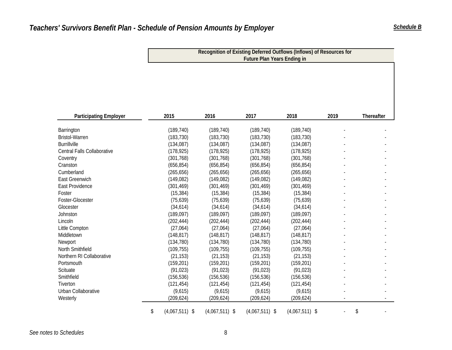# *Teachers' Survivors Benefit Plan - Schedule of Pension Amounts by Employer* **Schedule B** *Schedule B Schedule B*

|                               | Recognition of Existing Deferred Outflows (Inflows) of Resources for<br>Future Plan Years Ending in |                  |                  |                  |      |            |
|-------------------------------|-----------------------------------------------------------------------------------------------------|------------------|------------------|------------------|------|------------|
|                               |                                                                                                     |                  |                  |                  |      |            |
| <b>Participating Employer</b> | 2015                                                                                                | 2016             | 2017             | 2018             | 2019 | Thereafter |
| Barrington                    | (189, 740)                                                                                          | (189, 740)       | (189, 740)       | (189, 740)       |      |            |
| <b>Bristol-Warren</b>         | (183, 730)                                                                                          | (183, 730)       | (183, 730)       | (183, 730)       |      |            |
| <b>Burrillville</b>           | (134, 087)                                                                                          | (134, 087)       | (134, 087)       | (134, 087)       |      |            |
| Central Falls Collaborative   | (178, 925)                                                                                          | (178, 925)       | (178, 925)       | (178, 925)       |      |            |
| Coventry                      | (301, 768)                                                                                          | (301, 768)       | (301, 768)       | (301, 768)       |      |            |
| Cranston                      | (656, 854)                                                                                          | (656, 854)       | (656, 854)       | (656, 854)       |      |            |
| Cumberland                    | (265, 656)                                                                                          | (265, 656)       | (265, 656)       | (265, 656)       |      |            |
| East Greenwich                | (149, 082)                                                                                          | (149, 082)       | (149, 082)       | (149, 082)       |      |            |
| East Providence               | (301, 469)                                                                                          | (301, 469)       | (301, 469)       | (301, 469)       |      |            |
| Foster                        | (15, 384)                                                                                           | (15, 384)        | (15, 384)        | (15, 384)        |      |            |
| Foster-Glocester              | (75, 639)                                                                                           | (75, 639)        | (75, 639)        | (75, 639)        |      |            |
| Glocester                     | (34, 614)                                                                                           | (34, 614)        | (34, 614)        | (34, 614)        |      |            |
| Johnston                      | (189, 097)                                                                                          | (189, 097)       | (189, 097)       | (189, 097)       |      |            |
| Lincoln                       | (202, 444)                                                                                          | (202, 444)       | (202, 444)       | (202, 444)       |      |            |
| Little Compton                | (27,064)                                                                                            | (27,064)         | (27,064)         | (27,064)         |      |            |
| Middletown                    | (148, 817)                                                                                          | (148, 817)       | (148, 817)       | (148, 817)       |      |            |
| Newport                       | (134, 780)                                                                                          | (134, 780)       | (134, 780)       | (134, 780)       |      |            |
| North Smithfield              | (109, 755)                                                                                          | (109, 755)       | (109, 755)       | (109, 755)       |      |            |
| Northern RI Collaborative     | (21, 153)                                                                                           | (21, 153)        | (21, 153)        | (21, 153)        |      |            |
| Portsmouth                    | (159, 201)                                                                                          | (159, 201)       | (159, 201)       | (159, 201)       |      |            |
| Scituate                      | (91, 023)                                                                                           | (91, 023)        | (91, 023)        | (91, 023)        |      |            |
| Smithfield                    | (156, 536)                                                                                          | (156, 536)       | (156, 536)       | (156, 536)       |      |            |
| Tiverton                      | (121, 454)                                                                                          | (121, 454)       | (121, 454)       | (121, 454)       |      |            |
| Urban Collaborative           | (9,615)                                                                                             | (9,615)          | (9,615)          | (9,615)          |      |            |
| Westerly                      | (209, 624)                                                                                          | (209, 624)       | (209, 624)       | (209, 624)       |      |            |
|                               | \$<br>$(4,067,511)$ \$                                                                              | $(4,067,511)$ \$ | $(4,067,511)$ \$ | $(4,067,511)$ \$ |      | \$         |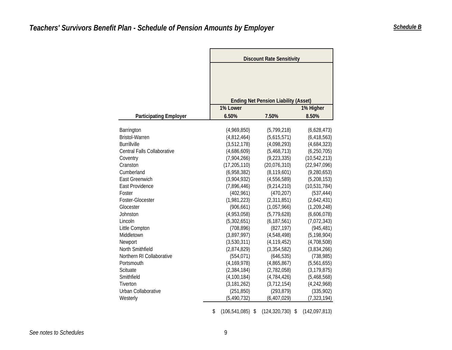$\sim$ 

|                                                          |                                                                                                                             | 1% Higher                                                                                                                                                                        |
|----------------------------------------------------------|-----------------------------------------------------------------------------------------------------------------------------|----------------------------------------------------------------------------------------------------------------------------------------------------------------------------------|
|                                                          |                                                                                                                             | 8.50%                                                                                                                                                                            |
| (4,969,850)<br>(4,812,464)<br>(3,512,178)<br>(4,686,609) | (5,799,218)<br>(5,615,571)<br>(4,098,293)<br>(5,468,713)                                                                    | (6,628,473)<br>(6, 418, 563)<br>(4,684,323)<br>(6, 250, 705)                                                                                                                     |
| (17, 205, 110)<br>(6,958,382)                            | (20,076,310)                                                                                                                | (10, 542, 213)<br>(22, 947, 096)<br>(9,280,653)                                                                                                                                  |
| (3,904,932)<br>(7,896,446)                               | (4,556,589)<br>(9,214,210)                                                                                                  | (5,208,153)<br>(10,531,784)                                                                                                                                                      |
| (1,981,223)                                              | (2,311,851)                                                                                                                 | (537, 444)<br>(2,642,431)<br>(1, 209, 248)                                                                                                                                       |
| (4,953,058)<br>(5,302,651)                               | (5,779,628)<br>(6, 187, 561)                                                                                                | (6,606,078)<br>(7,072,343)                                                                                                                                                       |
| (3,897,997)                                              | (4,548,498)                                                                                                                 | (945, 481)<br>(5, 198, 904)<br>(4,708,508)                                                                                                                                       |
| (2,874,829)<br>(554, 071)                                | (3, 354, 582)<br>(646, 535)                                                                                                 | (3,834,266)<br>(738, 985)                                                                                                                                                        |
| (2, 384, 184)<br>(4, 100, 184)                           | (2,782,058)<br>(4,784,426)                                                                                                  | (5,561,655)<br>(3, 179, 875)<br>(5,468,568)                                                                                                                                      |
| (3, 181, 262)<br>(251, 850)                              | (3,712,154)<br>(293, 879)                                                                                                   | (4,242,968)<br>(335,902)<br>(7, 323, 194)                                                                                                                                        |
|                                                          | 1% Lower<br>6.50%<br>(7,904,266)<br>(402, 961)<br>(906, 661)<br>(708, 896)<br>(3,530,311)<br>(4, 169, 978)<br>(5, 490, 732) | <b>Ending Net Pension Liability (Asset)</b><br>7.50%<br>(9, 223, 335)<br>(8, 119, 601)<br>(470, 207)<br>(1,057,966)<br>(827, 197)<br>(4, 119, 452)<br>(4,865,867)<br>(6,407,029) |

\$ (106,541,085) \$ (124,320,730) \$ (142,097,813)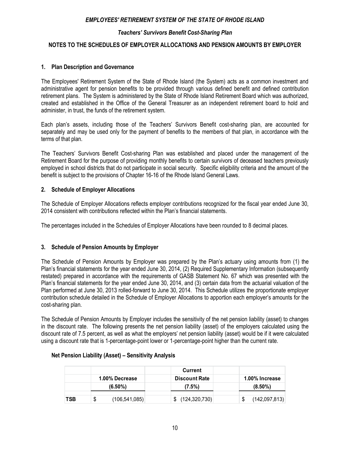#### *Teachers' Survivors Benefit Cost-Sharing Plan*

#### **NOTES TO THE SCHEDULES OF EMPLOYER ALLOCATIONS AND PENSION AMOUNTS BY EMPLOYER**

#### **1. Plan Description and Governance**

The Employees' Retirement System of the State of Rhode Island (the System) acts as a common investment and administrative agent for pension benefits to be provided through various defined benefit and defined contribution retirement plans. The System is administered by the State of Rhode Island Retirement Board which was authorized, created and established in the Office of the General Treasurer as an independent retirement board to hold and administer, in trust, the funds of the retirement system.

Each plan's assets, including those of the Teachers' Survivors Benefit cost-sharing plan, are accounted for separately and may be used only for the payment of benefits to the members of that plan, in accordance with the terms of that plan.

The Teachers' Survivors Benefit Cost-sharing Plan was established and placed under the management of the Retirement Board for the purpose of providing monthly benefits to certain survivors of deceased teachers previously employed in school districts that do not participate in social security. Specific eligibility criteria and the amount of the benefit is subject to the provisions of Chapter 16-16 of the Rhode Island General Laws.

#### **2. Schedule of Employer Allocations**

The Schedule of Employer Allocations reflects employer contributions recognized for the fiscal year ended June 30, 2014 consistent with contributions reflected within the Plan's financial statements.

The percentages included in the Schedules of Employer Allocations have been rounded to 8 decimal places.

#### **3. Schedule of Pension Amounts by Employer**

The Schedule of Pension Amounts by Employer was prepared by the Plan's actuary using amounts from (1) the Plan's financial statements for the year ended June 30, 2014, (2) Required Supplementary Information (subsequently restated) prepared in accordance with the requirements of GASB Statement No. 67 which was presented with the Plan's financial statements for the year ended June 30, 2014, and (3) certain data from the actuarial valuation of the Plan performed at June 30, 2013 rolled-forward to June 30, 2014. This Schedule utilizes the proportionate employer contribution schedule detailed in the Schedule of Employer Allocations to apportion each employer's amounts for the cost-sharing plan.

The Schedule of Pension Amounts by Employer includes the sensitivity of the net pension liability (asset) to changes in the discount rate. The following presents the net pension liability (asset) of the employers calculated using the discount rate of 7.5 percent, as well as what the employers' net pension liability (asset) would be if it were calculated using a discount rate that is 1-percentage-point lower or 1-percentage-point higher than the current rate.

#### **Net Pension Liability (Asset) – Sensitivity Analysis**

|            |                    | Current              |                |  |
|------------|--------------------|----------------------|----------------|--|
|            | 1.00% Decrease     | <b>Discount Rate</b> | 1.00% Increase |  |
|            | (6.50%)            | (7.5%)               | $(8.50\%)$     |  |
| <b>TSB</b> | S<br>(106,541,085) | (124, 320, 730)      | (142,097,813)  |  |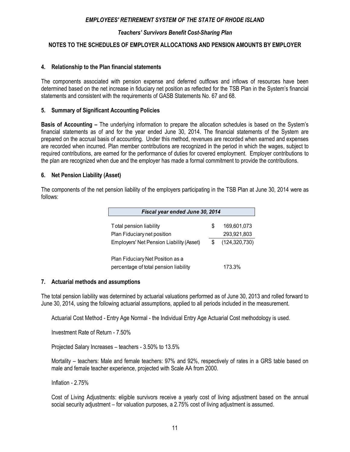#### *Teachers' Survivors Benefit Cost-Sharing Plan*

#### **NOTES TO THE SCHEDULES OF EMPLOYER ALLOCATIONS AND PENSION AMOUNTS BY EMPLOYER**

#### **4. Relationship to the Plan financial statements**

The components associated with pension expense and deferred outflows and inflows of resources have been determined based on the net increase in fiduciary net position as reflected for the TSB Plan in the System's financial statements and consistent with the requirements of GASB Statements No. 67 and 68.

#### **5. Summary of Significant Accounting Policies**

**Basis of Accounting –** The underlying information to prepare the allocation schedules is based on the System's financial statements as of and for the year ended June 30, 2014. The financial statements of the System are prepared on the accrual basis of accounting. Under this method, revenues are recorded when earned and expenses are recorded when incurred. Plan member contributions are recognized in the period in which the wages, subject to required contributions, are earned for the performance of duties for covered employment. Employer contributions to the plan are recognized when due and the employer has made a formal commitment to provide the contributions.

#### **6. Net Pension Liability (Asset)**

The components of the net pension liability of the employers participating in the TSB Plan at June 30, 2014 were as follows:

| Fiscal year ended June 30, 2014          |   |                 |  |  |  |  |
|------------------------------------------|---|-----------------|--|--|--|--|
| Total pension liability                  | S | 169,601,073     |  |  |  |  |
| Plan Fiduciary net position              |   | 293,921,803     |  |  |  |  |
| Employers' Net Pension Liability (Asset) |   | (124, 320, 730) |  |  |  |  |
| Plan Fiduciary Net Position as a         |   |                 |  |  |  |  |
| percentage of total pension liability    |   | 173.3%          |  |  |  |  |

#### **7. Actuarial methods and assumptions**

The total pension liability was determined by actuarial valuations performed as of June 30, 2013 and rolled forward to June 30, 2014, using the following actuarial assumptions, applied to all periods included in the measurement.

Actuarial Cost Method - Entry Age Normal - the Individual Entry Age Actuarial Cost methodology is used.

Investment Rate of Return - 7.50%

Projected Salary Increases – teachers - 3.50% to 13.5%

Mortality – teachers: Male and female teachers: 97% and 92%, respectively of rates in a GRS table based on male and female teacher experience, projected with Scale AA from 2000.

Inflation - 2.75%

Cost of Living Adjustments: eligible survivors receive a yearly cost of living adjustment based on the annual social security adjustment – for valuation purposes, a 2.75% cost of living adjustment is assumed.